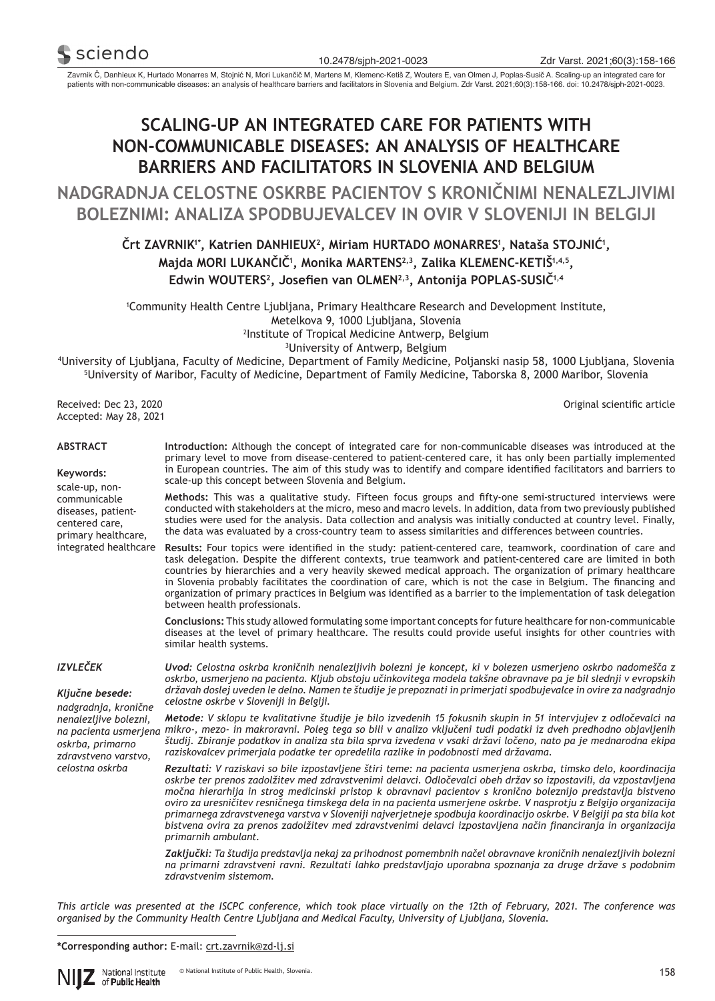

Zavrnik Č, Danhieux K, Hurtado Monarres M, Stojnić N, Mori Lukančič M, Martens M, Klemenc-Ketiš Z, Wouters E, van Olmen J, Poplas-Susič A. Scaling-up an integrated care for patients with non-communicable diseases: an analysis of healthcare barriers and facilitators in Slovenia and Belgium. Zdr Varst. 2021;60(3):158-166. doi: 10.2478/sjph-2021-0023.

# **SCALING-UP AN INTEGRATED CARE FOR PATIENTS WITH NON-COMMUNICABLE DISEASES: AN ANALYSIS OF HEALTHCARE BARRIERS AND FACILITATORS IN SLOVENIA AND BELGIUM**

**NADGRADNJA CELOSTNE OSKRBE PACIENTOV S KRONIČNIMI NENALEZLJIVIMI BOLEZNIMI: ANALIZA SPODBUJEVALCEV IN OVIR V SLOVENIJI IN BELGIJI**

# **Črt ZAVRNIK1\*, Katrien DANHIEUX<sup>2</sup>, Miriam HURTADO MONARRES<sup>1</sup> , Nataša STOJNIĆ<sup>1</sup> , Majda MORI LUKANČIČ<sup>1</sup> , Monika MARTENS2,3, Zalika KLEMENC-KETIŠ1,4,5, Edwin WOUTERS<sup>2</sup>, Josefien van OLMEN2,3, Antonija POPLAS-SUSIČ1,4**

 Community Health Centre Ljubljana, Primary Healthcare Research and Development Institute, Metelkova 9, 1000 Ljubljana, Slovenia Institute of Tropical Medicine Antwerp, Belgium University of Antwerp, Belgium

4 University of Ljubljana, Faculty of Medicine, Department of Family Medicine, Poljanski nasip 58, 1000 Ljubljana, Slovenia 5 University of Maribor, Faculty of Medicine, Department of Family Medicine, Taborska 8, 2000 Maribor, Slovenia

Received: Dec 23, 2020 Accepted: May 28, 2021

diseases, patientcentered care, primary healthcare, Original scientific article

| <b>ABSTRACT</b>                             | Introduction: Although the concept of integrated care for non-communicable diseases was introduced at the<br>primary level to move from disease-centered to patient-centered care, it has only been partially implemented |
|---------------------------------------------|---------------------------------------------------------------------------------------------------------------------------------------------------------------------------------------------------------------------------|
| Kevwords:<br>scale-up, non-<br>communicable | in European countries. The aim of this study was to identify and compare identified facilitators and barriers to<br>scale-up this concept between Slovenia and Belgium.                                                   |
|                                             | Methods: This was a qualitative study. Fifteen focus groups and fifty-one semi-structured interviews were                                                                                                                 |

**Methods:** This was a qualitative study. Fifteen focus groups and fifty-one semi-structured interviews were conducted with stakeholders at the micro, meso and macro levels. In addition, data from two previously published studies were used for the analysis. Data collection and analysis was initially conducted at country level. Finally, the data was evaluated by a cross-country team to assess similarities and differences between countries.

integrated healthcare **Results:** Four topics were identified in the study: patient-centered care, teamwork, coordination of care and task delegation. Despite the different contexts, true teamwork and patient-centered care are limited in both countries by hierarchies and a very heavily skewed medical approach. The organization of primary healthcare in Slovenia probably facilitates the coordination of care, which is not the case in Belgium. The financing and organization of primary practices in Belgium was identified as a barrier to the implementation of task delegation between health professionals.

> **Conclusions:** This study allowed formulating some important concepts for future healthcare for non-communicable diseases at the level of primary healthcare. The results could provide useful insights for other countries with similar health systems.

#### *IZVLEČEK*

*Ključne besede: nadgradnja, kronične nenalezljive bolezni, oskrba, primarno zdravstveno varstvo, celostna oskrba*

*Uvod: Celostna oskrba kroničnih nenalezljivih bolezni je koncept, ki v bolezen usmerjeno oskrbo nadomešča z oskrbo, usmerjeno na pacienta. Kljub obstoju učinkovitega modela takšne obravnave pa je bil slednji v evropskih državah doslej uveden le delno. Namen te študije je prepoznati in primerjati spodbujevalce in ovire za nadgradnjo celostne oskrbe v Sloveniji in Belgiji.*

*na pacienta usmerjena mikro-, mezo- in makroravni. Poleg tega so bili v analizo vključeni tudi podatki iz dveh predhodno objavljenih Metode: V sklopu te kvalitativne študije je bilo izvedenih 15 fokusnih skupin in 51 intervjujev z odločevalci na študij. Zbiranje podatkov in analiza sta bila sprva izvedena v vsaki državi ločeno, nato pa je mednarodna ekipa raziskovalcev primerjala podatke ter opredelila razlike in podobnosti med državama.*

> *Rezultati: V raziskavi so bile izpostavljene štiri teme: na pacienta usmerjena oskrba, timsko delo, koordinacija oskrbe ter prenos zadolžitev med zdravstvenimi delavci. Odločevalci obeh držav so izpostavili, da vzpostavljena močna hierarhija in strog medicinski pristop k obravnavi pacientov s kronično boleznijo predstavlja bistveno oviro za uresničitev resničnega timskega dela in na pacienta usmerjene oskrbe. V nasprotju z Belgijo organizacija primarnega zdravstvenega varstva v Sloveniji najverjetneje spodbuja koordinacijo oskrbe. V Belgiji pa sta bila kot bistvena ovira za prenos zadolžitev med zdravstvenimi delavci izpostavljena način financiranja in organizacija primarnih ambulant.*

> *Zaključki: Ta študija predstavlja nekaj za prihodnost pomembnih načel obravnave kroničnih nenalezljivih bolezni na primarni zdravstveni ravni. Rezultati lahko predstavljajo uporabna spoznanja za druge države s podobnim zdravstvenim sistemom.*

*This article was presented at the ISCPC conference, which took place virtually on the 12th of February, 2021. The conference was organised by the Community Health Centre Ljubljana and Medical Faculty, University of Ljubljana, Slovenia.*

**\*Corresponding author:** E-mail: crt.zavrnik@zd-lj.si

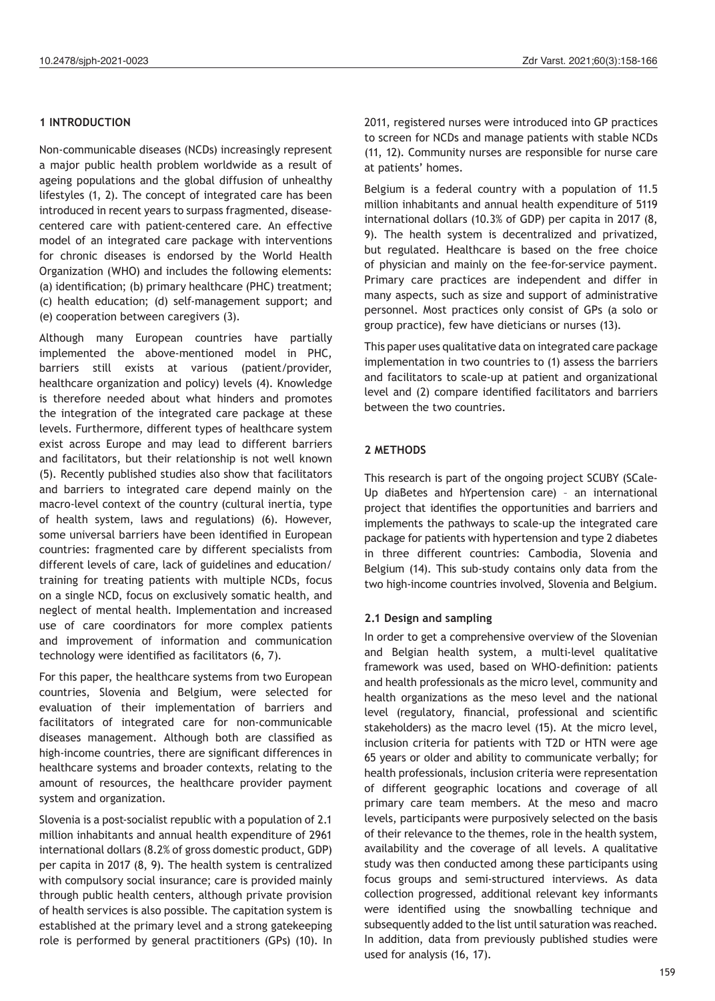## **1 INTRODUCTION**

Non-communicable diseases (NCDs) increasingly represent a major public health problem worldwide as a result of ageing populations and the global diffusion of unhealthy lifestyles (1, 2). The concept of integrated care has been introduced in recent years to surpass fragmented, diseasecentered care with patient-centered care. An effective model of an integrated care package with interventions for chronic diseases is endorsed by the World Health Organization (WHO) and includes the following elements: (a) identification; (b) primary healthcare (PHC) treatment; (c) health education; (d) self-management support; and (e) cooperation between caregivers (3).

Although many European countries have partially implemented the above-mentioned model in PHC, barriers still exists at various (patient/provider, healthcare organization and policy) levels (4). Knowledge is therefore needed about what hinders and promotes the integration of the integrated care package at these levels. Furthermore, different types of healthcare system exist across Europe and may lead to different barriers and facilitators, but their relationship is not well known (5). Recently published studies also show that facilitators and barriers to integrated care depend mainly on the macro-level context of the country (cultural inertia, type of health system, laws and regulations) (6). However, some universal barriers have been identified in European countries: fragmented care by different specialists from different levels of care, lack of guidelines and education/ training for treating patients with multiple NCDs, focus on a single NCD, focus on exclusively somatic health, and neglect of mental health. Implementation and increased use of care coordinators for more complex patients and improvement of information and communication technology were identified as facilitators (6, 7).

For this paper, the healthcare systems from two European countries, Slovenia and Belgium, were selected for evaluation of their implementation of barriers and facilitators of integrated care for non-communicable diseases management. Although both are classified as high-income countries, there are significant differences in healthcare systems and broader contexts, relating to the amount of resources, the healthcare provider payment system and organization.

Slovenia is a post-socialist republic with a population of 2.1 million inhabitants and annual health expenditure of 2961 international dollars (8.2% of gross domestic product, GDP) per capita in 2017 (8, 9). The health system is centralized with compulsory social insurance; care is provided mainly through public health centers, although private provision of health services is also possible. The capitation system is established at the primary level and a strong gatekeeping role is performed by general practitioners (GPs) (10). In

2011, registered nurses were introduced into GP practices to screen for NCDs and manage patients with stable NCDs (11, 12). Community nurses are responsible for nurse care at patients' homes.

Belgium is a federal country with a population of 11.5 million inhabitants and annual health expenditure of 5119 international dollars (10.3% of GDP) per capita in 2017 (8, 9). The health system is decentralized and privatized, but regulated. Healthcare is based on the free choice of physician and mainly on the fee-for-service payment. Primary care practices are independent and differ in many aspects, such as size and support of administrative personnel. Most practices only consist of GPs (a solo or group practice), few have dieticians or nurses (13).

This paper uses qualitative data on integrated care package implementation in two countries to (1) assess the barriers and facilitators to scale-up at patient and organizational level and (2) compare identified facilitators and barriers between the two countries.

# **2 METHODS**

This research is part of the ongoing project SCUBY (SCale-Up diaBetes and hYpertension care) – an international project that identifies the opportunities and barriers and implements the pathways to scale-up the integrated care package for patients with hypertension and type 2 diabetes in three different countries: Cambodia, Slovenia and Belgium (14). This sub-study contains only data from the two high-income countries involved, Slovenia and Belgium.

# **2.1 Design and sampling**

In order to get a comprehensive overview of the Slovenian and Belgian health system, a multi-level qualitative framework was used, based on WHO-definition: patients and health professionals as the micro level, community and health organizations as the meso level and the national level (regulatory, financial, professional and scientific stakeholders) as the macro level (15). At the micro level, inclusion criteria for patients with T2D or HTN were age 65 years or older and ability to communicate verbally; for health professionals, inclusion criteria were representation of different geographic locations and coverage of all primary care team members. At the meso and macro levels, participants were purposively selected on the basis of their relevance to the themes, role in the health system, availability and the coverage of all levels. A qualitative study was then conducted among these participants using focus groups and semi-structured interviews. As data collection progressed, additional relevant key informants were identified using the snowballing technique and subsequently added to the list until saturation was reached. In addition, data from previously published studies were used for analysis (16, 17).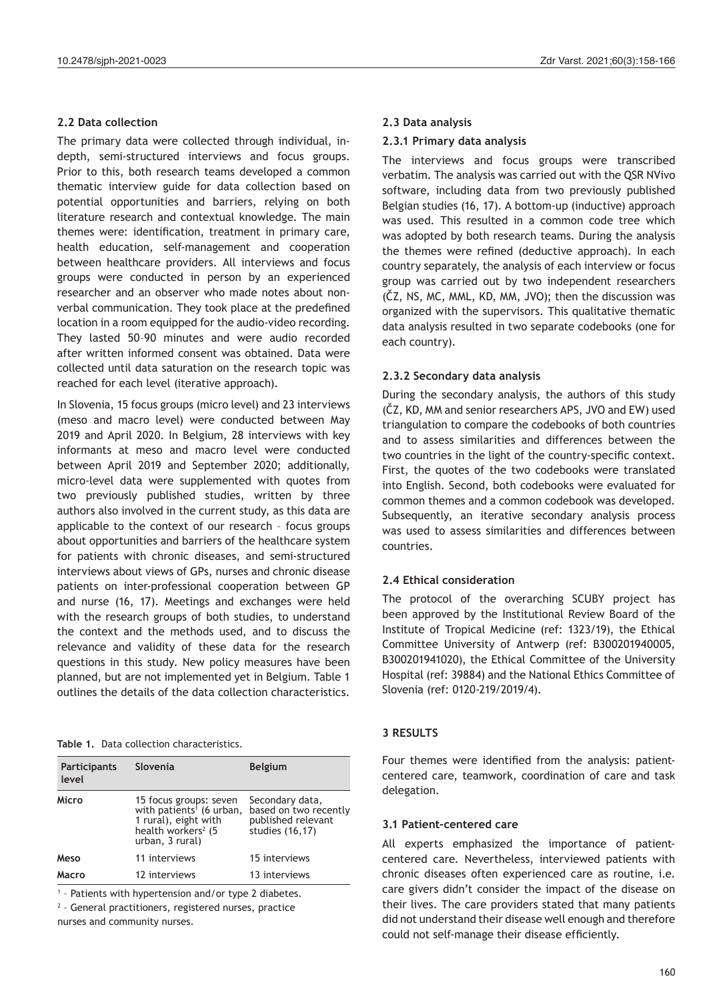## **2.2 Data collection**

The primary data were collected through individual, indepth, semi-structured interviews and focus groups. Prior to this, both research teams developed a common thematic interview guide for data collection based on potential opportunities and barriers, relying on both literature research and contextual knowledge. The main themes were: identification, treatment in primary care, health education, self-management and cooperation between healthcare providers. All interviews and focus groups were conducted in person by an experienced researcher and an observer who made notes about nonverbal communication. They took place at the predefined location in a room equipped for the audio-video recording. They lasted 50–90 minutes and were audio recorded after written informed consent was obtained. Data were collected until data saturation on the research topic was reached for each level (iterative approach).

In Slovenia, 15 focus groups (micro level) and 23 interviews (meso and macro level) were conducted between May 2019 and April 2020. In Belgium, 28 interviews with key informants at meso and macro level were conducted between April 2019 and September 2020; additionally, micro-level data were supplemented with quotes from two previously published studies, written by three authors also involved in the current study, as this data are applicable to the context of our research – focus groups about opportunities and barriers of the healthcare system for patients with chronic diseases, and semi-structured interviews about views of GPs, nurses and chronic disease patients on inter-professional cooperation between GP and nurse (16, 17). Meetings and exchanges were held with the research groups of both studies, to understand the context and the methods used, and to discuss the relevance and validity of these data for the research questions in this study. New policy measures have been planned, but are not implemented yet in Belgium. Table 1 outlines the details of the data collection characteristics.

**Table 1.** Data collection characteristics.

| Slovenia                                                                                                                                    | <b>Belgium</b>                                                                    |
|---------------------------------------------------------------------------------------------------------------------------------------------|-----------------------------------------------------------------------------------|
| 15 focus groups: seven<br>with patients <sup>1</sup> (6 urban,<br>1 rural), eight with<br>health workers <sup>2</sup> (5<br>urban, 3 rural) | Secondary data,<br>based on two recently<br>published relevant<br>studies (16,17) |
| 11 interviews                                                                                                                               | 15 interviews                                                                     |
| 12 interviews                                                                                                                               | 13 interviews                                                                     |
|                                                                                                                                             |                                                                                   |

1 – Patients with hypertension and/or type 2 diabetes.

2 – General practitioners, registered nurses, practice

nurses and community nurses.

#### **2.3 Data analysis**

#### **2.3.1 Primary data analysis**

The interviews and focus groups were transcribed verbatim. The analysis was carried out with the QSR NVivo software, including data from two previously published Belgian studies (16, 17). A bottom-up (inductive) approach was used. This resulted in a common code tree which was adopted by both research teams. During the analysis the themes were refined (deductive approach). In each country separately, the analysis of each interview or focus group was carried out by two independent researchers (ČZ, NS, MC, MML, KD, MM, JVO); then the discussion was organized with the supervisors. This qualitative thematic data analysis resulted in two separate codebooks (one for each country).

## **2.3.2 Secondary data analysis**

During the secondary analysis, the authors of this study (ČZ, KD, MM and senior researchers APS, JVO and EW) used triangulation to compare the codebooks of both countries and to assess similarities and differences between the two countries in the light of the country-specific context. First, the quotes of the two codebooks were translated into English. Second, both codebooks were evaluated for common themes and a common codebook was developed. Subsequently, an iterative secondary analysis process was used to assess similarities and differences between countries.

## **2.4 Ethical consideration**

The protocol of the overarching SCUBY project has been approved by the Institutional Review Board of the Institute of Tropical Medicine (ref: 1323/19), the Ethical Committee University of Antwerp (ref: B300201940005, B300201941020), the Ethical Committee of the University Hospital (ref: 39884) and the National Ethics Committee of Slovenia (ref: 0120-219/2019/4).

## **3 RESULTS**

Four themes were identified from the analysis: patientcentered care, teamwork, coordination of care and task delegation.

#### **3.1 Patient-centered care**

All experts emphasized the importance of patientcentered care. Nevertheless, interviewed patients with chronic diseases often experienced care as routine, i.e. care givers didn't consider the impact of the disease on their lives. The care providers stated that many patients did not understand their disease well enough and therefore could not self-manage their disease efficiently.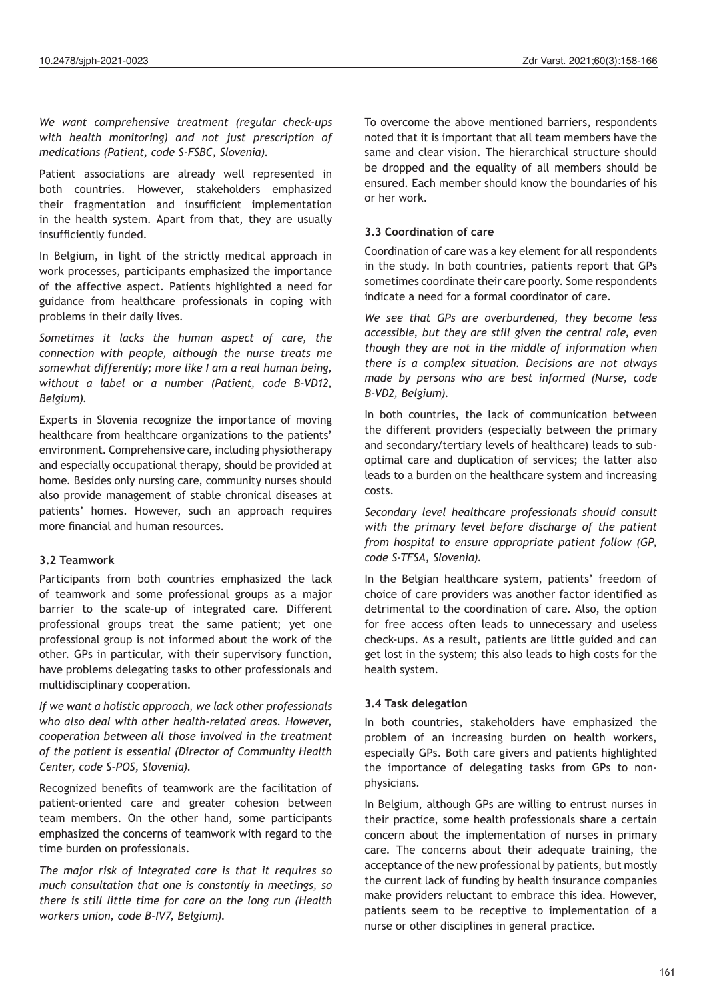*We want comprehensive treatment (regular check-ups with health monitoring) and not just prescription of medications (Patient, code S-FSBC, Slovenia).*

Patient associations are already well represented in both countries. However, stakeholders emphasized their fragmentation and insufficient implementation in the health system. Apart from that, they are usually insufficiently funded.

In Belgium, in light of the strictly medical approach in work processes, participants emphasized the importance of the affective aspect. Patients highlighted a need for guidance from healthcare professionals in coping with problems in their daily lives.

*Sometimes it lacks the human aspect of care, the connection with people, although the nurse treats me somewhat differently; more like I am a real human being, without a label or a number (Patient, code B-VD12, Belgium).*

Experts in Slovenia recognize the importance of moving healthcare from healthcare organizations to the patients' environment. Comprehensive care, including physiotherapy and especially occupational therapy, should be provided at home. Besides only nursing care, community nurses should also provide management of stable chronical diseases at patients' homes. However, such an approach requires more financial and human resources.

## **3.2 Teamwork**

Participants from both countries emphasized the lack of teamwork and some professional groups as a major barrier to the scale-up of integrated care. Different professional groups treat the same patient; yet one professional group is not informed about the work of the other. GPs in particular, with their supervisory function, have problems delegating tasks to other professionals and multidisciplinary cooperation.

*If we want a holistic approach, we lack other professionals who also deal with other health-related areas. However, cooperation between all those involved in the treatment of the patient is essential (Director of Community Health Center, code S-POS, Slovenia).*

Recognized benefits of teamwork are the facilitation of patient-oriented care and greater cohesion between team members. On the other hand, some participants emphasized the concerns of teamwork with regard to the time burden on professionals.

*The major risk of integrated care is that it requires so much consultation that one is constantly in meetings, so there is still little time for care on the long run (Health workers union, code B-IV7, Belgium).*

To overcome the above mentioned barriers, respondents noted that it is important that all team members have the same and clear vision. The hierarchical structure should be dropped and the equality of all members should be ensured. Each member should know the boundaries of his or her work.

## **3.3 Coordination of care**

Coordination of care was a key element for all respondents in the study. In both countries, patients report that GPs sometimes coordinate their care poorly. Some respondents indicate a need for a formal coordinator of care.

*We see that GPs are overburdened, they become less accessible, but they are still given the central role, even though they are not in the middle of information when there is a complex situation. Decisions are not always made by persons who are best informed (Nurse, code B-VD2, Belgium).*

In both countries, the lack of communication between the different providers (especially between the primary and secondary/tertiary levels of healthcare) leads to suboptimal care and duplication of services; the latter also leads to a burden on the healthcare system and increasing costs.

*Secondary level healthcare professionals should consult with the primary level before discharge of the patient from hospital to ensure appropriate patient follow (GP, code S-TFSA, Slovenia).*

In the Belgian healthcare system, patients' freedom of choice of care providers was another factor identified as detrimental to the coordination of care. Also, the option for free access often leads to unnecessary and useless check-ups. As a result, patients are little guided and can get lost in the system; this also leads to high costs for the health system.

## **3.4 Task delegation**

In both countries, stakeholders have emphasized the problem of an increasing burden on health workers, especially GPs. Both care givers and patients highlighted the importance of delegating tasks from GPs to nonphysicians.

In Belgium, although GPs are willing to entrust nurses in their practice, some health professionals share a certain concern about the implementation of nurses in primary care. The concerns about their adequate training, the acceptance of the new professional by patients, but mostly the current lack of funding by health insurance companies make providers reluctant to embrace this idea. However, patients seem to be receptive to implementation of a nurse or other disciplines in general practice.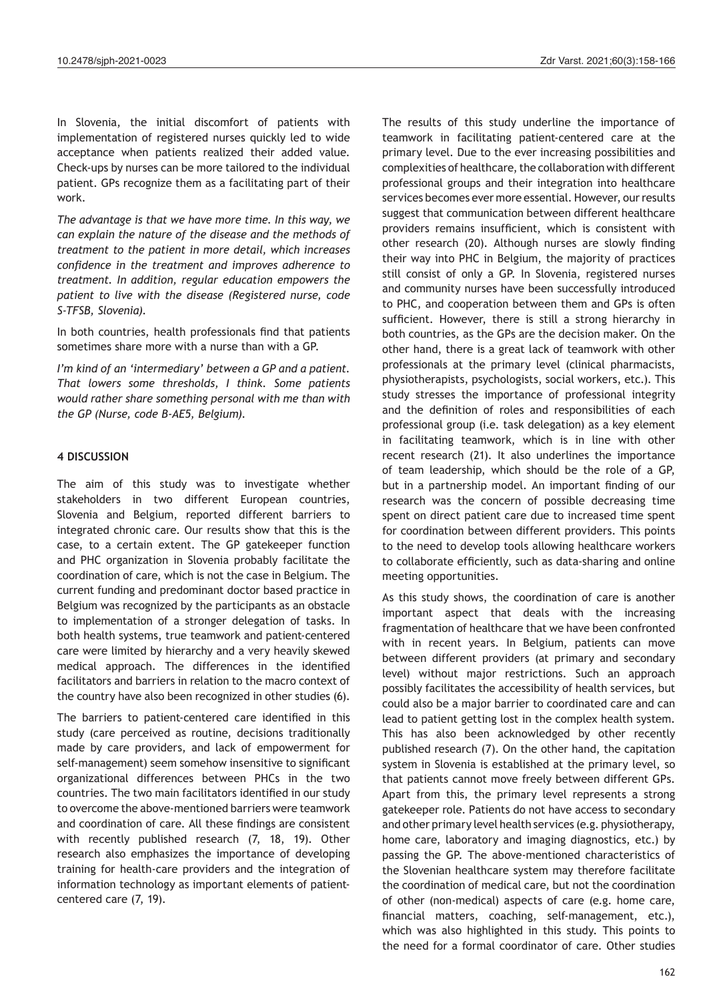In Slovenia, the initial discomfort of patients with implementation of registered nurses quickly led to wide acceptance when patients realized their added value. Check-ups by nurses can be more tailored to the individual patient. GPs recognize them as a facilitating part of their work.

*The advantage is that we have more time. In this way, we can explain the nature of the disease and the methods of treatment to the patient in more detail, which increases confidence in the treatment and improves adherence to treatment. In addition, regular education empowers the patient to live with the disease (Registered nurse, code S-TFSB, Slovenia).*

In both countries, health professionals find that patients sometimes share more with a nurse than with a GP.

*I'm kind of an 'intermediary' between a GP and a patient. That lowers some thresholds, I think. Some patients would rather share something personal with me than with the GP (Nurse, code B-AE5, Belgium).*

#### **4 DISCUSSION**

The aim of this study was to investigate whether stakeholders in two different European countries, Slovenia and Belgium, reported different barriers to integrated chronic care. Our results show that this is the case, to a certain extent. The GP gatekeeper function and PHC organization in Slovenia probably facilitate the coordination of care, which is not the case in Belgium. The current funding and predominant doctor based practice in Belgium was recognized by the participants as an obstacle to implementation of a stronger delegation of tasks. In both health systems, true teamwork and patient-centered care were limited by hierarchy and a very heavily skewed medical approach. The differences in the identified facilitators and barriers in relation to the macro context of the country have also been recognized in other studies (6).

The barriers to patient-centered care identified in this study (care perceived as routine, decisions traditionally made by care providers, and lack of empowerment for self-management) seem somehow insensitive to significant organizational differences between PHCs in the two countries. The two main facilitators identified in our study to overcome the above-mentioned barriers were teamwork and coordination of care. All these findings are consistent with recently published research (7, 18, 19). Other research also emphasizes the importance of developing training for health-care providers and the integration of information technology as important elements of patientcentered care (7, 19).

The results of this study underline the importance of teamwork in facilitating patient-centered care at the primary level. Due to the ever increasing possibilities and complexities of healthcare, the collaboration with different professional groups and their integration into healthcare services becomes ever more essential. However, our results suggest that communication between different healthcare providers remains insufficient, which is consistent with other research (20). Although nurses are slowly finding their way into PHC in Belgium, the majority of practices still consist of only a GP. In Slovenia, registered nurses and community nurses have been successfully introduced to PHC, and cooperation between them and GPs is often sufficient. However, there is still a strong hierarchy in both countries, as the GPs are the decision maker. On the other hand, there is a great lack of teamwork with other professionals at the primary level (clinical pharmacists, physiotherapists, psychologists, social workers, etc.). This study stresses the importance of professional integrity and the definition of roles and responsibilities of each professional group (i.e. task delegation) as a key element in facilitating teamwork, which is in line with other recent research (21). It also underlines the importance of team leadership, which should be the role of a GP, but in a partnership model. An important finding of our research was the concern of possible decreasing time spent on direct patient care due to increased time spent for coordination between different providers. This points to the need to develop tools allowing healthcare workers to collaborate efficiently, such as data-sharing and online meeting opportunities.

As this study shows, the coordination of care is another important aspect that deals with the increasing fragmentation of healthcare that we have been confronted with in recent years. In Belgium, patients can move between different providers (at primary and secondary level) without major restrictions. Such an approach possibly facilitates the accessibility of health services, but could also be a major barrier to coordinated care and can lead to patient getting lost in the complex health system. This has also been acknowledged by other recently published research (7). On the other hand, the capitation system in Slovenia is established at the primary level, so that patients cannot move freely between different GPs. Apart from this, the primary level represents a strong gatekeeper role. Patients do not have access to secondary and other primary level health services (e.g. physiotherapy, home care, laboratory and imaging diagnostics, etc.) by passing the GP. The above-mentioned characteristics of the Slovenian healthcare system may therefore facilitate the coordination of medical care, but not the coordination of other (non-medical) aspects of care (e.g. home care, financial matters, coaching, self-management, etc.), which was also highlighted in this study. This points to the need for a formal coordinator of care. Other studies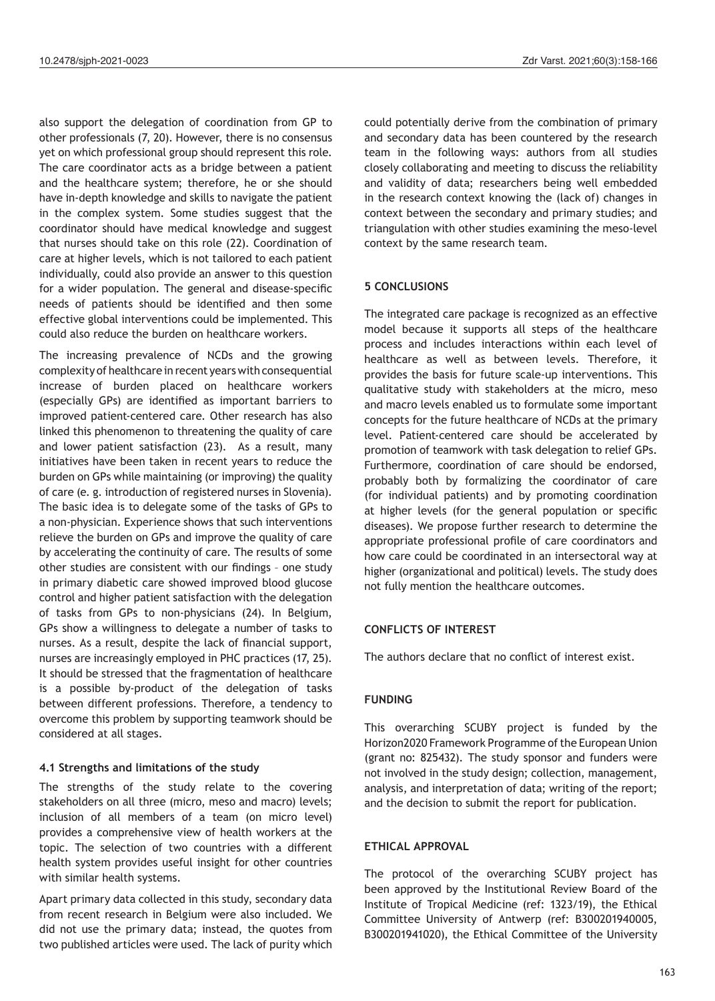also support the delegation of coordination from GP to other professionals (7, 20). However, there is no consensus yet on which professional group should represent this role. The care coordinator acts as a bridge between a patient and the healthcare system; therefore, he or she should have in-depth knowledge and skills to navigate the patient in the complex system. Some studies suggest that the coordinator should have medical knowledge and suggest that nurses should take on this role (22). Coordination of care at higher levels, which is not tailored to each patient individually, could also provide an answer to this question for a wider population. The general and disease-specific needs of patients should be identified and then some effective global interventions could be implemented. This could also reduce the burden on healthcare workers.

The increasing prevalence of NCDs and the growing complexity of healthcare in recent years with consequential increase of burden placed on healthcare workers (especially GPs) are identified as important barriers to improved patient-centered care. Other research has also linked this phenomenon to threatening the quality of care and lower patient satisfaction (23). As a result, many initiatives have been taken in recent years to reduce the burden on GPs while maintaining (or improving) the quality of care (e. g. introduction of registered nurses in Slovenia). The basic idea is to delegate some of the tasks of GPs to a non-physician. Experience shows that such interventions relieve the burden on GPs and improve the quality of care by accelerating the continuity of care. The results of some other studies are consistent with our findings – one study in primary diabetic care showed improved blood glucose control and higher patient satisfaction with the delegation of tasks from GPs to non-physicians (24). In Belgium, GPs show a willingness to delegate a number of tasks to nurses. As a result, despite the lack of financial support, nurses are increasingly employed in PHC practices (17, 25). It should be stressed that the fragmentation of healthcare is a possible by-product of the delegation of tasks between different professions. Therefore, a tendency to overcome this problem by supporting teamwork should be considered at all stages.

## **4.1 Strengths and limitations of the study**

The strengths of the study relate to the covering stakeholders on all three (micro, meso and macro) levels; inclusion of all members of a team (on micro level) provides a comprehensive view of health workers at the topic. The selection of two countries with a different health system provides useful insight for other countries with similar health systems.

Apart primary data collected in this study, secondary data from recent research in Belgium were also included. We did not use the primary data; instead, the quotes from two published articles were used. The lack of purity which could potentially derive from the combination of primary and secondary data has been countered by the research team in the following ways: authors from all studies closely collaborating and meeting to discuss the reliability and validity of data; researchers being well embedded in the research context knowing the (lack of) changes in context between the secondary and primary studies; and triangulation with other studies examining the meso-level context by the same research team.

## **5 CONCLUSIONS**

The integrated care package is recognized as an effective model because it supports all steps of the healthcare process and includes interactions within each level of healthcare as well as between levels. Therefore, it provides the basis for future scale-up interventions. This qualitative study with stakeholders at the micro, meso and macro levels enabled us to formulate some important concepts for the future healthcare of NCDs at the primary level. Patient-centered care should be accelerated by promotion of teamwork with task delegation to relief GPs. Furthermore, coordination of care should be endorsed, probably both by formalizing the coordinator of care (for individual patients) and by promoting coordination at higher levels (for the general population or specific diseases). We propose further research to determine the appropriate professional profile of care coordinators and how care could be coordinated in an intersectoral way at higher (organizational and political) levels. The study does not fully mention the healthcare outcomes.

#### **CONFLICTS OF INTEREST**

The authors declare that no conflict of interest exist.

#### **FUNDING**

This overarching SCUBY project is funded by the Horizon2020 Framework Programme of the European Union (grant no: 825432). The study sponsor and funders were not involved in the study design; collection, management, analysis, and interpretation of data; writing of the report; and the decision to submit the report for publication.

#### **ETHICAL APPROVAL**

The protocol of the overarching SCUBY project has been approved by the Institutional Review Board of the Institute of Tropical Medicine (ref: 1323/19), the Ethical Committee University of Antwerp (ref: B300201940005, B300201941020), the Ethical Committee of the University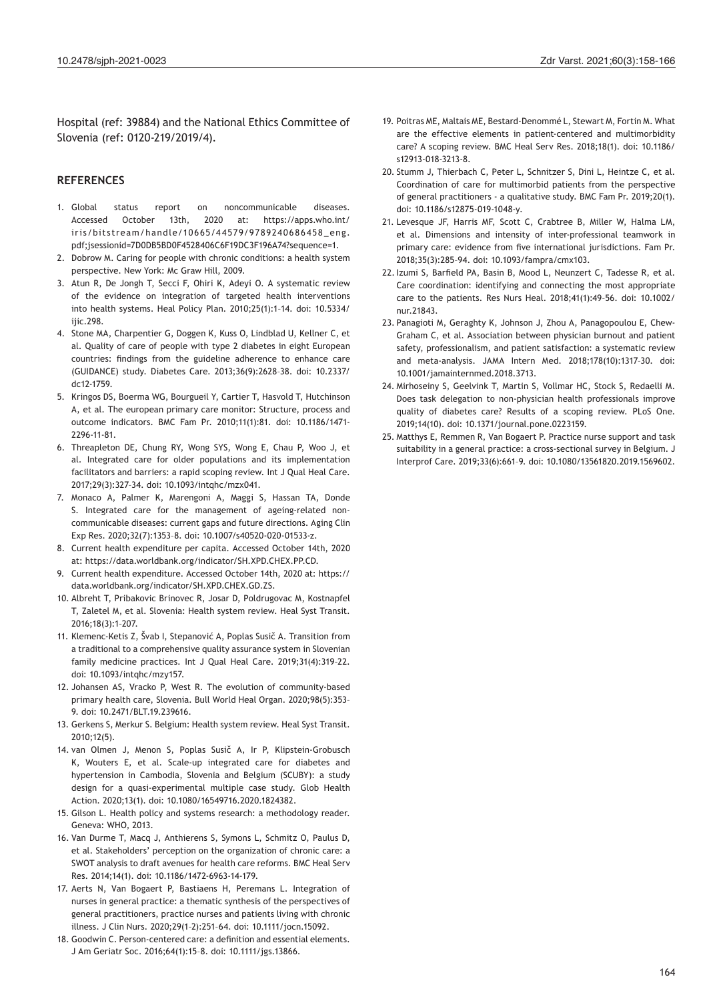Hospital (ref: 39884) and the National Ethics Committee of Slovenia (ref: 0120-219/2019/4).

#### **REFERENCES**

- 1. Global status report on noncommunicable diseases. Accessed October 13th, 2020 at: https://apps.who.int/ iris/bitstream/handle/10665/44579/9789240686458\_eng. pdf;jsessionid=7D0DB5BD0F4528406C6F19DC3F196A74?sequence=1.
- 2. Dobrow M. Caring for people with chronic conditions: a health system perspective. New York: Mc Graw Hill, 2009.
- 3. Atun R, De Jongh T, Secci F, Ohiri K, Adeyi O. A systematic review of the evidence on integration of targeted health interventions into health systems. Heal Policy Plan. 2010;25(1):1–14. doi: 10.5334/ ijic.298.
- 4. Stone MA, Charpentier G, Doggen K, Kuss O, Lindblad U, Kellner C, et al. Quality of care of people with type 2 diabetes in eight European countries: findings from the guideline adherence to enhance care (GUIDANCE) study. Diabetes Care. 2013;36(9):2628–38. doi: 10.2337/ dc12-1759.
- 5. Kringos DS, Boerma WG, Bourgueil Y, Cartier T, Hasvold T, Hutchinson A, et al. The european primary care monitor: Structure, process and outcome indicators. BMC Fam Pr. 2010;11(1):81. doi: 10.1186/1471- 2296-11-81.
- 6. Threapleton DE, Chung RY, Wong SYS, Wong E, Chau P, Woo J, et al. Integrated care for older populations and its implementation facilitators and barriers: a rapid scoping review. Int J Qual Heal Care. 2017;29(3):327–34. doi: 10.1093/intqhc/mzx041.
- 7. Monaco A, Palmer K, Marengoni A, Maggi S, Hassan TA, Donde S. Integrated care for the management of ageing-related noncommunicable diseases: current gaps and future directions. Aging Clin Exp Res. 2020;32(7):1353–8. doi: 10.1007/s40520-020-01533-z.
- 8. Current health expenditure per capita. Accessed October 14th, 2020 at: https://data.worldbank.org/indicator/SH.XPD.CHEX.PP.CD.
- 9. Current health expenditure. Accessed October 14th, 2020 at: https:// data.worldbank.org/indicator/SH.XPD.CHEX.GD.ZS.
- 10. Albreht T, Pribakovic Brinovec R, Josar D, Poldrugovac M, Kostnapfel T, Zaletel M, et al. Slovenia: Health system review. Heal Syst Transit. 2016;18(3):1–207.
- 11. Klemenc-Ketis Z, Švab I, Stepanović A, Poplas Susič A. Transition from a traditional to a comprehensive quality assurance system in Slovenian family medicine practices. Int J Qual Heal Care. 2019;31(4):319–22. doi: 10.1093/intqhc/mzy157.
- 12. Johansen AS, Vracko P, West R. The evolution of community-based primary health care, Slovenia. Bull World Heal Organ. 2020;98(5):353– 9. doi: 10.2471/BLT.19.239616.
- 13. Gerkens S, Merkur S. Belgium: Health system review. Heal Syst Transit. 2010;12(5).
- 14. van Olmen J, Menon S, Poplas Susič A, Ir P, Klipstein-Grobusch K, Wouters E, et al. Scale-up integrated care for diabetes and hypertension in Cambodia, Slovenia and Belgium (SCUBY): a study design for a quasi-experimental multiple case study. Glob Health Action. 2020;13(1). doi: 10.1080/16549716.2020.1824382.
- 15. Gilson L. Health policy and systems research: a methodology reader. Geneva: WHO, 2013.
- 16. Van Durme T, Macq J, Anthierens S, Symons L, Schmitz O, Paulus D, et al. Stakeholders' perception on the organization of chronic care: a SWOT analysis to draft avenues for health care reforms. BMC Heal Serv Res. 2014;14(1). doi: 10.1186/1472-6963-14-179.
- 17. Aerts N, Van Bogaert P, Bastiaens H, Peremans L. Integration of nurses in general practice: a thematic synthesis of the perspectives of general practitioners, practice nurses and patients living with chronic illness. J Clin Nurs. 2020;29(1–2):251–64. doi: 10.1111/jocn.15092.
- 18. Goodwin C. Person-centered care: a definition and essential elements. J Am Geriatr Soc. 2016;64(1):15–8. doi: 10.1111/jgs.13866.
- 19. Poitras ME, Maltais ME, Bestard-Denommé L, Stewart M, Fortin M. What are the effective elements in patient-centered and multimorbidity care? A scoping review. BMC Heal Serv Res. 2018;18(1). doi: 10.1186/ s12913-018-3213-8.
- 20. Stumm J, Thierbach C, Peter L, Schnitzer S, Dini L, Heintze C, et al. Coordination of care for multimorbid patients from the perspective of general practitioners - a qualitative study. BMC Fam Pr. 2019;20(1). doi: 10.1186/s12875-019-1048-y.
- 21. Levesque JF, Harris MF, Scott C, Crabtree B, Miller W, Halma LM, et al. Dimensions and intensity of inter-professional teamwork in primary care: evidence from five international jurisdictions. Fam Pr. 2018;35(3):285–94. doi: 10.1093/fampra/cmx103.
- 22. Izumi S, Barfield PA, Basin B, Mood L, Neunzert C, Tadesse R, et al. Care coordination: identifying and connecting the most appropriate care to the patients. Res Nurs Heal. 2018;41(1):49–56. doi: 10.1002/ nur.21843.
- 23. Panagioti M, Geraghty K, Johnson J, Zhou A, Panagopoulou E, Chew-Graham C, et al. Association between physician burnout and patient safety, professionalism, and patient satisfaction: a systematic review and meta-analysis. JAMA Intern Med. 2018;178(10):1317–30. doi: 10.1001/jamainternmed.2018.3713.
- 24. Mirhoseiny S, Geelvink T, Martin S, Vollmar HC, Stock S, Redaelli M. Does task delegation to non-physician health professionals improve quality of diabetes care? Results of a scoping review. PLoS One. 2019;14(10). doi: 10.1371/journal.pone.0223159.
- 25. Matthys E, Remmen R, Van Bogaert P. Practice nurse support and task suitability in a general practice: a cross-sectional survey in Belgium. J Interprof Care. 2019;33(6):661–9. doi: 10.1080/13561820.2019.1569602.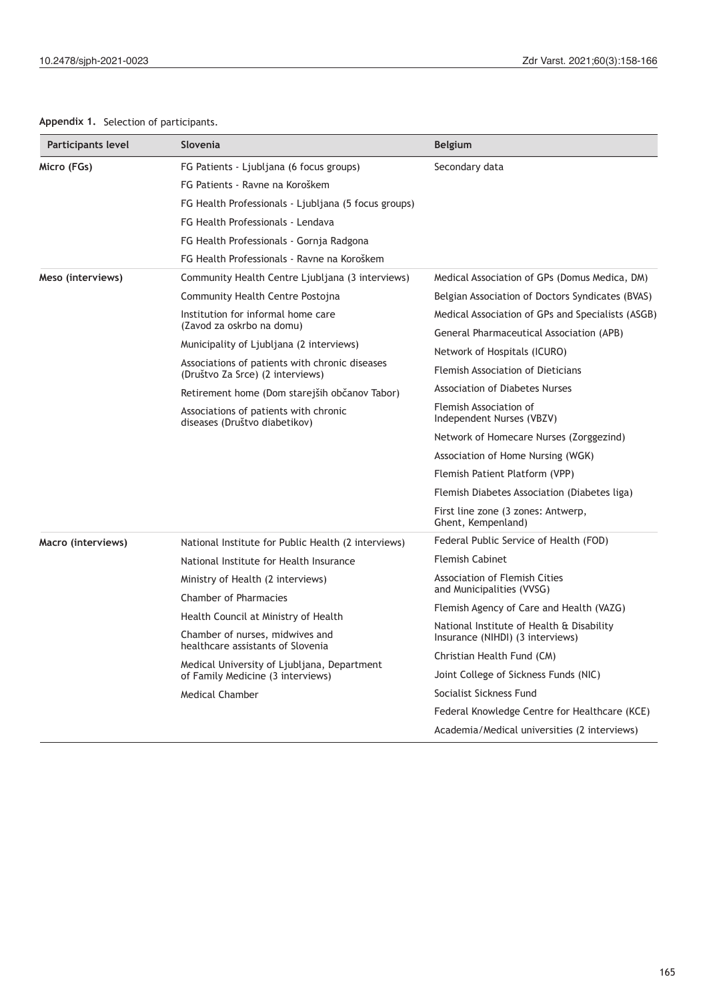# **Appendix 1.** Selection of participants.

| Micro (FGs)<br>FG Patients - Ljubljana (6 focus groups)<br>Secondary data          |                                                                               |
|------------------------------------------------------------------------------------|-------------------------------------------------------------------------------|
|                                                                                    |                                                                               |
| FG Patients - Ravne na Koroškem                                                    |                                                                               |
| FG Health Professionals - Ljubljana (5 focus groups)                               |                                                                               |
| FG Health Professionals - Lendava                                                  |                                                                               |
| FG Health Professionals - Gornja Radgona                                           |                                                                               |
| FG Health Professionals - Ravne na Koroškem                                        |                                                                               |
| Community Health Centre Ljubljana (3 interviews)<br>Meso (interviews)              | Medical Association of GPs (Domus Medica, DM)                                 |
| Community Health Centre Postojna                                                   | Belgian Association of Doctors Syndicates (BVAS)                              |
| Institution for informal home care                                                 | Medical Association of GPs and Specialists (ASGB)                             |
| (Zavod za oskrbo na domu)                                                          | General Pharmaceutical Association (APB)                                      |
| Municipality of Ljubljana (2 interviews)                                           | Network of Hospitals (ICURO)                                                  |
| Associations of patients with chronic diseases<br>(Društvo Za Srce) (2 interviews) | Flemish Association of Dieticians                                             |
| Retirement home (Dom starejših občanov Tabor)                                      | <b>Association of Diabetes Nurses</b>                                         |
| Associations of patients with chronic<br>diseases (Društvo diabetikov)             | Flemish Association of<br>Independent Nurses (VBZV)                           |
|                                                                                    | Network of Homecare Nurses (Zorggezind)                                       |
|                                                                                    | Association of Home Nursing (WGK)                                             |
|                                                                                    | Flemish Patient Platform (VPP)                                                |
|                                                                                    | Flemish Diabetes Association (Diabetes liga)                                  |
|                                                                                    | First line zone (3 zones: Antwerp,<br>Ghent, Kempenland)                      |
| Macro (interviews)<br>National Institute for Public Health (2 interviews)          | Federal Public Service of Health (FOD)                                        |
| <b>Flemish Cabinet</b><br>National Institute for Health Insurance                  |                                                                               |
| Ministry of Health (2 interviews)                                                  | Association of Flemish Cities                                                 |
| <b>Chamber of Pharmacies</b>                                                       | and Municipalities (VVSG)                                                     |
| Health Council at Ministry of Health                                               | Flemish Agency of Care and Health (VAZG)                                      |
| Chamber of nurses, midwives and                                                    | National Institute of Health & Disability<br>Insurance (NIHDI) (3 interviews) |
| healthcare assistants of Slovenia                                                  | Christian Health Fund (CM)                                                    |
| Medical University of Ljubljana, Department<br>of Family Medicine (3 interviews)   | Joint College of Sickness Funds (NIC)                                         |
| <b>Medical Chamber</b>                                                             | Socialist Sickness Fund                                                       |
|                                                                                    | Federal Knowledge Centre for Healthcare (KCE)                                 |
|                                                                                    | Academia/Medical universities (2 interviews)                                  |